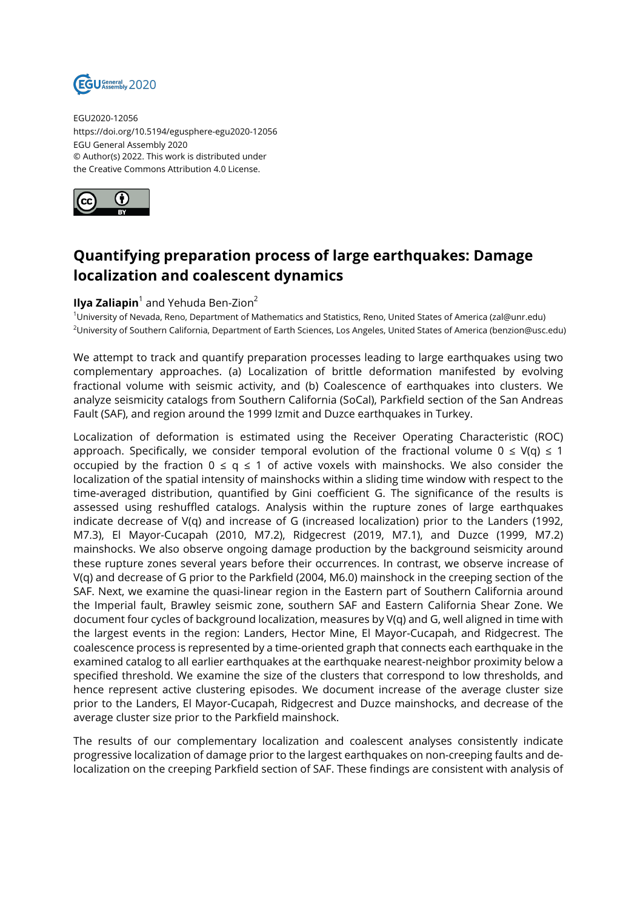

EGU2020-12056 https://doi.org/10.5194/egusphere-egu2020-12056 EGU General Assembly 2020 © Author(s) 2022. This work is distributed under the Creative Commons Attribution 4.0 License.



## **Quantifying preparation process of large earthquakes: Damage localization and coalescent dynamics**

## **Ilya Zaliapin**<sup>1</sup> and Yehuda Ben-Zion<sup>2</sup>

<sup>1</sup>University of Nevada, Reno, Department of Mathematics and Statistics, Reno, United States of America (zal@unr.edu) <sup>2</sup>University of Southern California, Department of Earth Sciences, Los Angeles, United States of America (benzion@usc.edu)

We attempt to track and quantify preparation processes leading to large earthquakes using two complementary approaches. (a) Localization of brittle deformation manifested by evolving fractional volume with seismic activity, and (b) Coalescence of earthquakes into clusters. We analyze seismicity catalogs from Southern California (SoCal), Parkfield section of the San Andreas Fault (SAF), and region around the 1999 Izmit and Duzce earthquakes in Turkey.

Localization of deformation is estimated using the Receiver Operating Characteristic (ROC) approach. Specifically, we consider temporal evolution of the fractional volume  $0 \le V(q) \le 1$ occupied by the fraction  $0 \le q \le 1$  of active voxels with mainshocks. We also consider the localization of the spatial intensity of mainshocks within a sliding time window with respect to the time-averaged distribution, quantified by Gini coefficient G. The significance of the results is assessed using reshuffled catalogs. Analysis within the rupture zones of large earthquakes indicate decrease of V(q) and increase of G (increased localization) prior to the Landers (1992, M7.3), El Mayor-Cucapah (2010, M7.2), Ridgecrest (2019, M7.1), and Duzce (1999, M7.2) mainshocks. We also observe ongoing damage production by the background seismicity around these rupture zones several years before their occurrences. In contrast, we observe increase of V(q) and decrease of G prior to the Parkfield (2004, M6.0) mainshock in the creeping section of the SAF. Next, we examine the quasi-linear region in the Eastern part of Southern California around the Imperial fault, Brawley seismic zone, southern SAF and Eastern California Shear Zone. We document four cycles of background localization, measures by V(q) and G, well aligned in time with the largest events in the region: Landers, Hector Mine, El Mayor-Cucapah, and Ridgecrest. The coalescence process is represented by a time-oriented graph that connects each earthquake in the examined catalog to all earlier earthquakes at the earthquake nearest-neighbor proximity below a specified threshold. We examine the size of the clusters that correspond to low thresholds, and hence represent active clustering episodes. We document increase of the average cluster size prior to the Landers, El Mayor-Cucapah, Ridgecrest and Duzce mainshocks, and decrease of the average cluster size prior to the Parkfield mainshock.

The results of our complementary localization and coalescent analyses consistently indicate progressive localization of damage prior to the largest earthquakes on non-creeping faults and delocalization on the creeping Parkfield section of SAF. These findings are consistent with analysis of